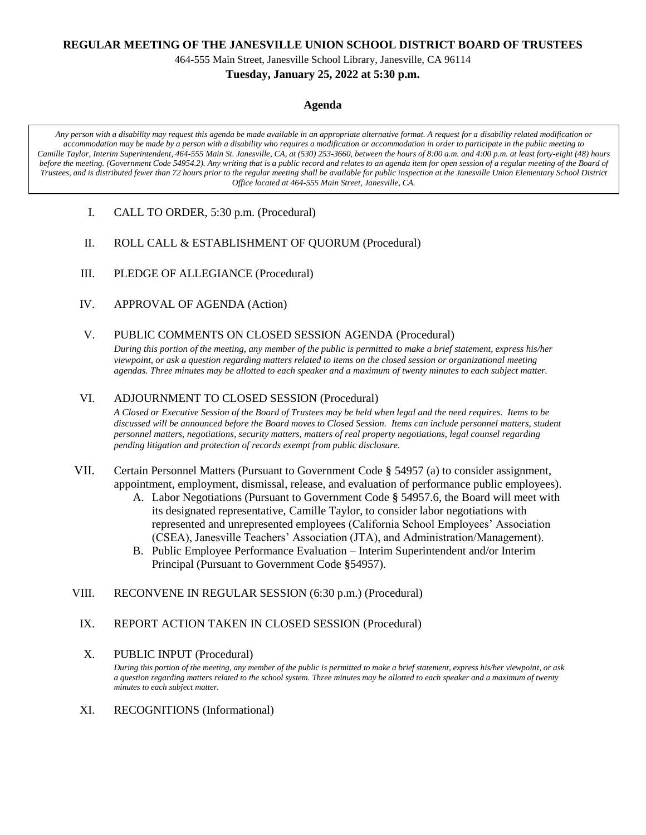### **REGULAR MEETING OF THE JANESVILLE UNION SCHOOL DISTRICT BOARD OF TRUSTEES**

464-555 Main Street, Janesville School Library, Janesville, CA 96114

### **Tuesday, January 25, 2022 at 5:30 p.m.**

#### **Agenda**

*Any person with a disability may request this agenda be made available in an appropriate alternative format. A request for a disability related modification or accommodation may be made by a person with a disability who requires a modification or accommodation in order to participate in the public meeting to Camille Taylor, Interim Superintendent, 464-555 Main St. Janesville, CA, at (530) 253-3660, between the hours of 8:00 a.m. and 4:00 p.m. at least forty-eight (48) hours before the meeting. (Government Code 54954.2). Any writing that is a public record and relates to an agenda item for open session of a regular meeting of the Board of Trustees, and is distributed fewer than 72 hours prior to the regular meeting shall be available for public inspection at the Janesville Union Elementary School District Office located at 464-555 Main Street, Janesville, CA.*

- I. CALL TO ORDER, 5:30 p.m. (Procedural)
- II. ROLL CALL & ESTABLISHMENT OF QUORUM (Procedural)
- III. PLEDGE OF ALLEGIANCE (Procedural)
- IV. APPROVAL OF AGENDA (Action)
- V. PUBLIC COMMENTS ON CLOSED SESSION AGENDA (Procedural)

*During this portion of the meeting, any member of the public is permitted to make a brief statement, express his/her viewpoint, or ask a question regarding matters related to items on the closed session or organizational meeting agendas. Three minutes may be allotted to each speaker and a maximum of twenty minutes to each subject matter.*

### VI. ADJOURNMENT TO CLOSED SESSION (Procedural)

*A Closed or Executive Session of the Board of Trustees may be held when legal and the need requires. Items to be discussed will be announced before the Board moves to Closed Session. Items can include personnel matters, student personnel matters, negotiations, security matters, matters of real property negotiations, legal counsel regarding pending litigation and protection of records exempt from public disclosure.*

- VII. Certain Personnel Matters (Pursuant to Government Code **§** 54957 (a) to consider assignment, appointment, employment, dismissal, release, and evaluation of performance public employees).
	- A. Labor Negotiations (Pursuant to Government Code **§** 54957.6, the Board will meet with its designated representative, Camille Taylor, to consider labor negotiations with represented and unrepresented employees (California School Employees' Association (CSEA), Janesville Teachers' Association (JTA), and Administration/Management).
	- B. Public Employee Performance Evaluation Interim Superintendent and/or Interim Principal (Pursuant to Government Code **§**54957).
- VIII. RECONVENE IN REGULAR SESSION (6:30 p.m.) (Procedural)
	- IX. REPORT ACTION TAKEN IN CLOSED SESSION (Procedural)

# X. PUBLIC INPUT (Procedural)

*During this portion of the meeting, any member of the public is permitted to make a brief statement, express his/her viewpoint, or ask a question regarding matters related to the school system. Three minutes may be allotted to each speaker and a maximum of twenty minutes to each subject matter.*

XI. RECOGNITIONS (Informational)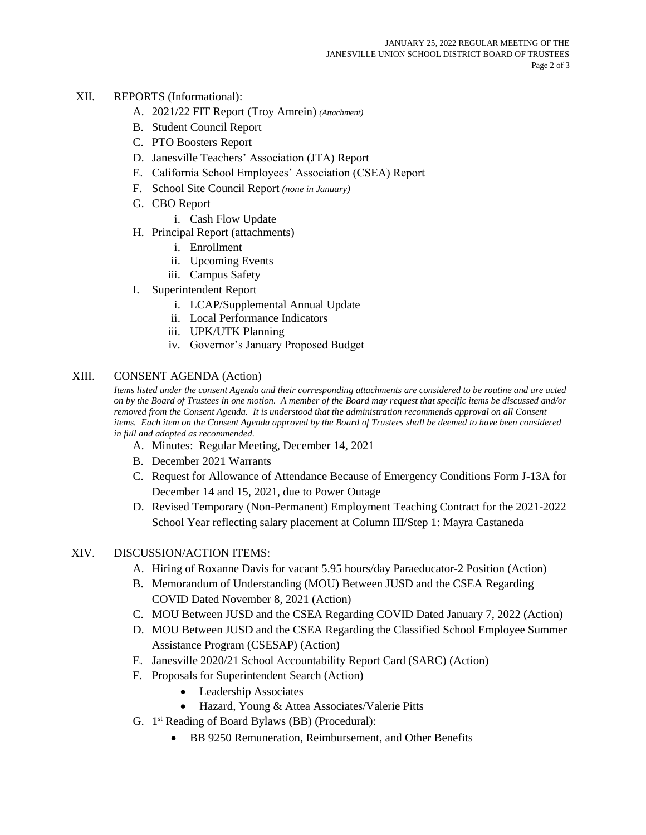## XII. REPORTS (Informational):

- A. 2021/22 FIT Report (Troy Amrein) *(Attachment)*
- B. Student Council Report
- C. PTO Boosters Report
- D. Janesville Teachers' Association (JTA) Report
- E. California School Employees' Association (CSEA) Report
- F. School Site Council Report *(none in January)*
- G. CBO Report
	- i. Cash Flow Update
- H. Principal Report (attachments)
	- i. Enrollment
	- ii. Upcoming Events
	- iii. Campus Safety
- I. Superintendent Report
	- i. LCAP/Supplemental Annual Update
	- ii. Local Performance Indicators
	- iii. UPK/UTK Planning
	- iv. Governor's January Proposed Budget

## XIII. CONSENT AGENDA (Action)

*Items listed under the consent Agenda and their corresponding attachments are considered to be routine and are acted on by the Board of Trustees in one motion. A member of the Board may request that specific items be discussed and/or removed from the Consent Agenda. It is understood that the administration recommends approval on all Consent items. Each item on the Consent Agenda approved by the Board of Trustees shall be deemed to have been considered in full and adopted as recommended.*

- A. Minutes: Regular Meeting, December 14, 2021
- B. December 2021 Warrants
- C. Request for Allowance of Attendance Because of Emergency Conditions Form J-13A for December 14 and 15, 2021, due to Power Outage
- D. Revised Temporary (Non-Permanent) Employment Teaching Contract for the 2021-2022 School Year reflecting salary placement at Column III/Step 1: Mayra Castaneda

## XIV. DISCUSSION/ACTION ITEMS:

- A. Hiring of Roxanne Davis for vacant 5.95 hours/day Paraeducator-2 Position (Action)
- B. Memorandum of Understanding (MOU) Between JUSD and the CSEA Regarding COVID Dated November 8, 2021 (Action)
- C. MOU Between JUSD and the CSEA Regarding COVID Dated January 7, 2022 (Action)
- D. MOU Between JUSD and the CSEA Regarding the Classified School Employee Summer Assistance Program (CSESAP) (Action)
- E. Janesville 2020/21 School Accountability Report Card (SARC) (Action)
- F. Proposals for Superintendent Search (Action)
	- Leadership Associates
	- Hazard, Young & Attea Associates/Valerie Pitts
- G. 1<sup>st</sup> Reading of Board Bylaws (BB) (Procedural):
	- BB 9250 Remuneration, Reimbursement, and Other Benefits